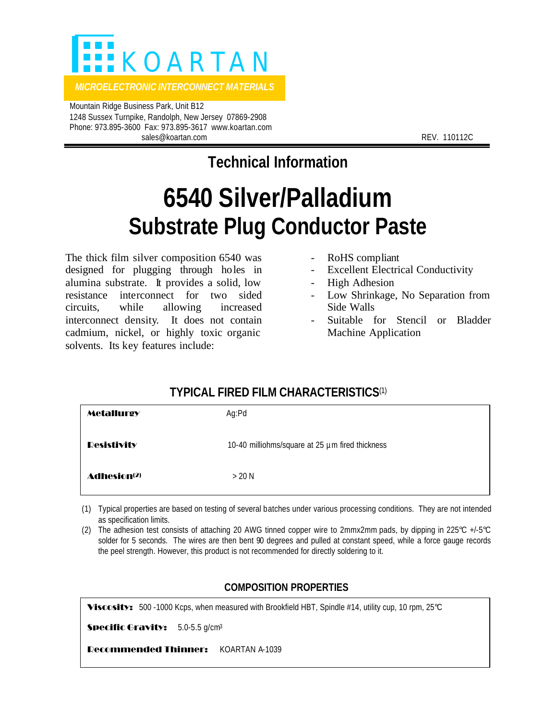

 Mountain Ridge Business Park, Unit B12 1248 Sussex Turnpike, Randolph, New Jersey 07869-2908 Phone: 973.895-3600 Fax: 973.895-3617 www.koartan.com sales@koartan.com **REV. 110112C** 

**Technical Information**

## **6540 Silver/Palladium Substrate Plug Conductor Paste**

The thick film silver composition 6540 was designed for plugging through holes in alumina substrate. It provides a solid, low resistance interconnect for two sided circuits, while allowing increased interconnect density. It does not contain cadmium, nickel, or highly toxic organic solvents. Its key features include:

- RoHS compliant
- **Excellent Electrical Conductivity**
- High Adhesion
- Low Shrinkage, No Separation from Side Walls
- Suitable for Stencil or Bladder Machine Application

## **TYPICAL FIRED FILM CHARACTERISTICS**(1)

| <b>Metallurgy</b>              | Ag:Pd                                           |
|--------------------------------|-------------------------------------------------|
| <b>Resistivity</b>             | 10-40 milliohms/square at 25 µm fired thickness |
| <b>Adhesion</b> <sup>(2)</sup> | $>20$ N                                         |

- (1) Typical properties are based on testing of several batches under various processing conditions. They are not intended as specification limits.
- (2) The adhesion test consists of attaching 20 AWG tinned copper wire to 2mmx2mm pads, by dipping in 225 $^{\circ}$ C +/-5 $^{\circ}$ C solder for 5 seconds. The wires are then bent 90 degrees and pulled at constant speed, while a force gauge records the peel strength. However, this product is not recommended for directly soldering to it.

## **COMPOSITION PROPERTIES**

**Viscosity:** 500 -1000 Kcps, when measured with Brookfield HBT, Spindle #14, utility cup, 10 rpm, 25°C

Specific Gravity: 5.0-5.5 g/cm<sup>3</sup>

Recommended Thinner: KOARTAN A-1039